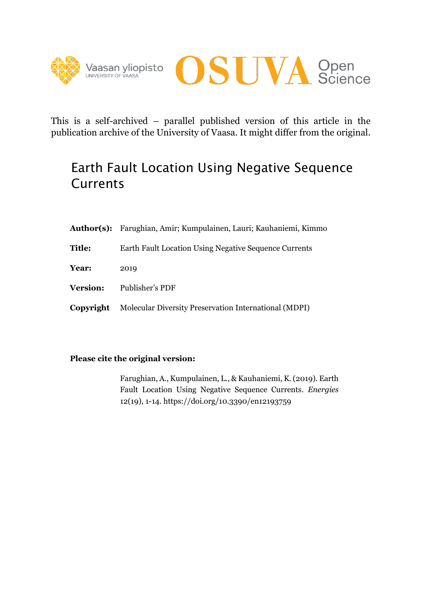



This is a self-archived – parallel published version of this article in the publication archive of the University of Vaasa. It might differ from the original.

# Earth Fault Location Using Negative Sequence **Currents**

|                 | Author(s): Farughian, Amir; Kumpulainen, Lauri; Kauhaniemi, Kimmo |
|-----------------|-------------------------------------------------------------------|
| <b>Title:</b>   | Earth Fault Location Using Negative Sequence Currents             |
| Year:           | 2019                                                              |
| <b>Version:</b> | Publisher's PDF                                                   |
| Copyright       | Molecular Diversity Preservation International (MDPI)             |

### **Please cite the original version:**

Farughian, A., Kumpulainen, L., & Kauhaniemi, K.(2019). Earth Fault Location Using Negative Sequence Currents. *Energies* 12(19), 1-14. https://doi.org/10.3390/en12193759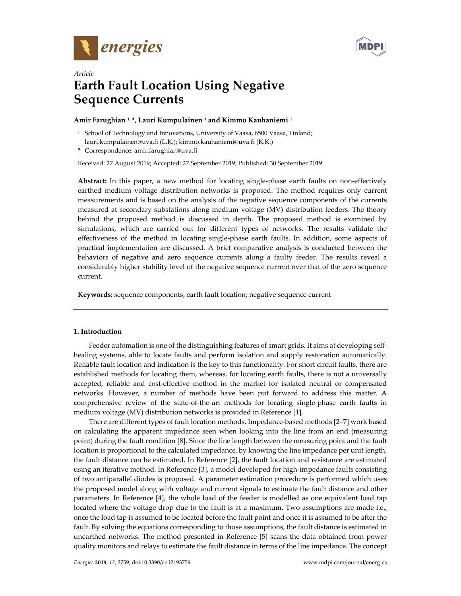



## *Article*  **Earth Fault Location Using Negative Sequence Currents**

#### **Amir Farughian 1, \*, Lauri Kumpulainen 1 and Kimmo Kauhaniemi 1**

<sup>1</sup> School of Technology and Innovations, University of Vaasa, 6500 Vaasa, Finland; lauri.kumpulainen@uva.fi (L.K.); kimmo.kauhaniemi@uva.fi (K.K.)

**\*** Correspondence: amir.farughian@uva.fi

Received: 27 August 2019; Accepted: 27 September 2019; Published: 30 September 2019

**Abstract:** In this paper, a new method for locating single-phase earth faults on non-effectively earthed medium voltage distribution networks is proposed. The method requires only current measurements and is based on the analysis of the negative sequence components of the currents measured at secondary substations along medium voltage (MV) distribution feeders. The theory behind the proposed method is discussed in depth. The proposed method is examined by simulations, which are carried out for different types of networks. The results validate the effectiveness of the method in locating single-phase earth faults. In addition, some aspects of practical implementation are discussed. A brief comparative analysis is conducted between the behaviors of negative and zero sequence currents along a faulty feeder. The results reveal a considerably higher stability level of the negative sequence current over that of the zero sequence current.

**Keywords:** sequence components; earth fault location; negative sequence current

#### **1. Introduction**

Feeder automation is one of the distinguishing features of smart grids. It aims at developing selfhealing systems, able to locate faults and perform isolation and supply restoration automatically. Reliable fault location and indication is the key to this functionality. For short circuit faults, there are established methods for locating them, whereas, for locating earth faults, there is not a universally accepted, reliable and cost-effective method in the market for isolated neutral or compensated networks. However, a number of methods have been put forward to address this matter. A comprehensive review of the state-of-the-art methods for locating single-phase earth faults in medium voltage (MV) distribution networks is provided in Reference [1].

There are different types of fault location methods. Impedance-based methods [2–7] work based on calculating the apparent impedance seen when looking into the line from an end (measuring point) during the fault condition [8]. Since the line length between the measuring point and the fault location is proportional to the calculated impedance, by knowing the line impedance per unit length, the fault distance can be estimated. In Reference [2], the fault location and resistance are estimated using an iterative method. In Reference [3], a model developed for high-impedance faults consisting of two antiparallel diodes is proposed. A parameter estimation procedure is performed which uses the proposed model along with voltage and current signals to estimate the fault distance and other parameters. In Reference [4], the whole load of the feeder is modelled as one equivalent load tap located where the voltage drop due to the fault is at a maximum. Two assumptions are made i.e., once the load tap is assumed to be located before the fault point and once it is assumed to be after the fault. By solving the equations corresponding to those assumptions, the fault distance is estimated in unearthed networks. The method presented in Reference [5] scans the data obtained from power quality monitors and relays to estimate the fault distance in terms of the line impedance. The concept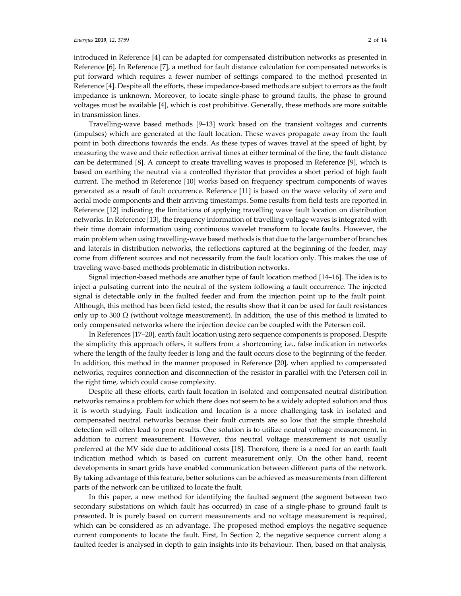introduced in Reference [4] can be adapted for compensated distribution networks as presented in Reference [6]. In Reference [7], a method for fault distance calculation for compensated networks is put forward which requires a fewer number of settings compared to the method presented in Reference [4]. Despite all the efforts, these impedance-based methods are subject to errors as the fault impedance is unknown. Moreover, to locate single-phase to ground faults, the phase to ground voltages must be available [4], which is cost prohibitive. Generally, these methods are more suitable in transmission lines.

Travelling-wave based methods [9–13] work based on the transient voltages and currents (impulses) which are generated at the fault location. These waves propagate away from the fault point in both directions towards the ends. As these types of waves travel at the speed of light, by measuring the wave and their reflection arrival times at either terminal of the line, the fault distance can be determined [8]. A concept to create travelling waves is proposed in Reference [9], which is based on earthing the neutral via a controlled thyristor that provides a short period of high fault current. The method in Reference [10] works based on frequency spectrum components of waves generated as a result of fault occurrence. Reference [11] is based on the wave velocity of zero and aerial mode components and their arriving timestamps. Some results from field tests are reported in Reference [12] indicating the limitations of applying travelling wave fault location on distribution networks. In Reference [13], the frequency information of travelling voltage waves is integrated with their time domain information using continuous wavelet transform to locate faults. However, the main problem when using travelling-wave based methods is that due to the large number of branches and laterals in distribution networks, the reflections captured at the beginning of the feeder, may come from different sources and not necessarily from the fault location only. This makes the use of traveling wave-based methods problematic in distribution networks.

Signal injection-based methods are another type of fault location method [14–16]. The idea is to inject a pulsating current into the neutral of the system following a fault occurrence. The injected signal is detectable only in the faulted feeder and from the injection point up to the fault point. Although, this method has been field tested, the results show that it can be used for fault resistances only up to 300  $\Omega$  (without voltage measurement). In addition, the use of this method is limited to only compensated networks where the injection device can be coupled with the Petersen coil.

In References [17–20], earth fault location using zero sequence components is proposed. Despite the simplicity this approach offers, it suffers from a shortcoming i.e., false indication in networks where the length of the faulty feeder is long and the fault occurs close to the beginning of the feeder. In addition, this method in the manner proposed in Reference [20], when applied to compensated networks, requires connection and disconnection of the resistor in parallel with the Petersen coil in the right time, which could cause complexity.

Despite all these efforts, earth fault location in isolated and compensated neutral distribution networks remains a problem for which there does not seem to be a widely adopted solution and thus it is worth studying. Fault indication and location is a more challenging task in isolated and compensated neutral networks because their fault currents are so low that the simple threshold detection will often lead to poor results. One solution is to utilize neutral voltage measurement, in addition to current measurement. However, this neutral voltage measurement is not usually preferred at the MV side due to additional costs [18]. Therefore, there is a need for an earth fault indication method which is based on current measurement only. On the other hand, recent developments in smart grids have enabled communication between different parts of the network. By taking advantage of this feature, better solutions can be achieved as measurements from different parts of the network can be utilized to locate the fault.

In this paper, a new method for identifying the faulted segment (the segment between two secondary substations on which fault has occurred) in case of a single-phase to ground fault is presented. It is purely based on current measurements and no voltage measurement is required, which can be considered as an advantage. The proposed method employs the negative sequence current components to locate the fault. First, In Section 2, the negative sequence current along a faulted feeder is analysed in depth to gain insights into its behaviour. Then, based on that analysis,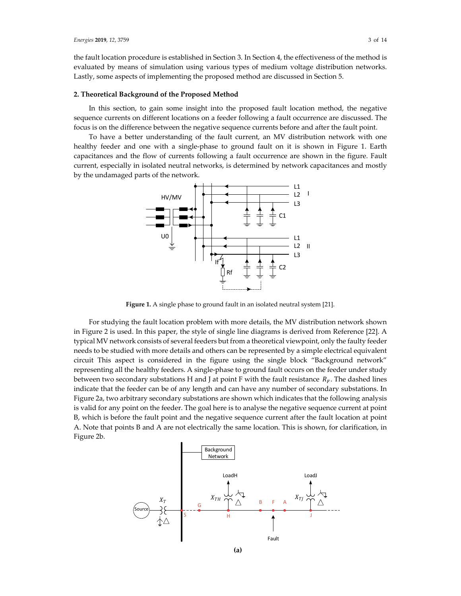the fault location procedure is established in Section 3. In Section 4, the effectiveness of the method is evaluated by means of simulation using various types of medium voltage distribution networks. Lastly, some aspects of implementing the proposed method are discussed in Section 5.

#### **2. Theoretical Background of the Proposed Method**

In this section, to gain some insight into the proposed fault location method, the negative sequence currents on different locations on a feeder following a fault occurrence are discussed. The focus is on the difference between the negative sequence currents before and after the fault point.

To have a better understanding of the fault current, an MV distribution network with one healthy feeder and one with a single-phase to ground fault on it is shown in Figure 1. Earth capacitances and the flow of currents following a fault occurrence are shown in the figure. Fault current, especially in isolated neutral networks, is determined by network capacitances and mostly by the undamaged parts of the network.



**Figure 1.** A single phase to ground fault in an isolated neutral system [21].

For studying the fault location problem with more details, the MV distribution network shown in Figure 2 is used. In this paper, the style of single line diagrams is derived from Reference [22]. A typical MV network consists of several feeders but from a theoretical viewpoint, only the faulty feeder needs to be studied with more details and others can be represented by a simple electrical equivalent circuit This aspect is considered in the figure using the single block "Background network" representing all the healthy feeders. A single-phase to ground fault occurs on the feeder under study between two secondary substations H and J at point F with the fault resistance  $R_F$ . The dashed lines indicate that the feeder can be of any length and can have any number of secondary substations. In Figure 2a, two arbitrary secondary substations are shown which indicates that the following analysis is valid for any point on the feeder. The goal here is to analyse the negative sequence current at point B, which is before the fault point and the negative sequence current after the fault location at point A. Note that points B and A are not electrically the same location. This is shown, for clarification, in Figure 2b.

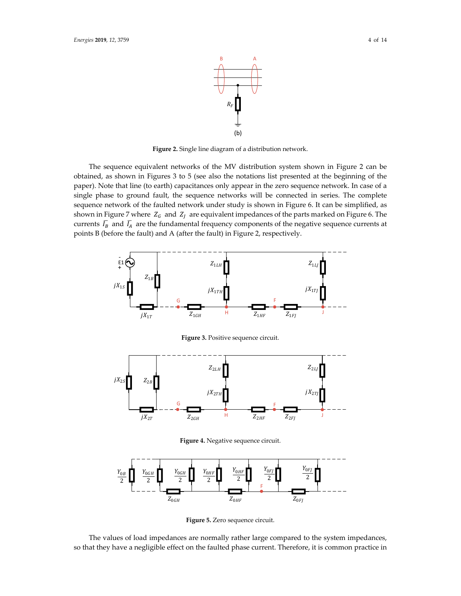

**Figure 2.** Single line diagram of a distribution network.

The sequence equivalent networks of the MV distribution system shown in Figure 2 can be obtained, as shown in Figures 3 to 5 (see also the notations list presented at the beginning of the paper). Note that line (to earth) capacitances only appear in the zero sequence network. In case of a single phase to ground fault, the sequence networks will be connected in series. The complete sequence network of the faulted network under study is shown in Figure 6. It can be simplified, as shown in Figure 7 where  $Z_G$  and  $Z_I$  are equivalent impedances of the parts marked on Figure 6. The currents  $\bar{I}_B$  and  $\bar{I}_A$  are the fundamental frequency components of the negative sequence currents at points B (before the fault) and A (after the fault) in Figure 2, respectively.



**Figure 3.** Positive sequence circuit.



**Figure 4.** Negative sequence circuit.



**Figure 5.** Zero sequence circuit.

The values of load impedances are normally rather large compared to the system impedances, so that they have a negligible effect on the faulted phase current. Therefore, it is common practice in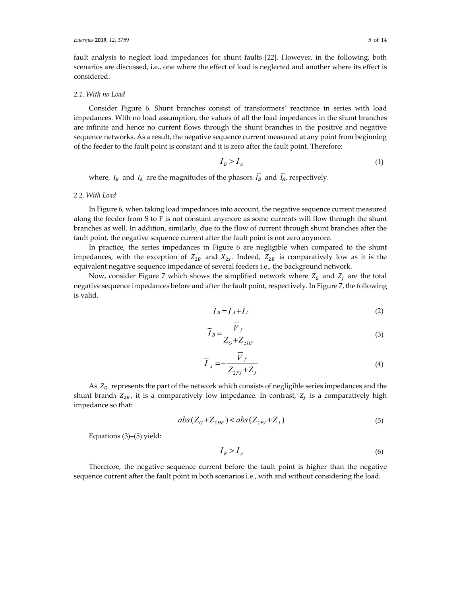fault analysis to neglect load impedances for shunt faults [22]. However, in the following, both scenarios are discussed, i.e., one where the effect of load is neglected and another where its effect is considered.

#### *2.1. With no Load*

Consider Figure 6. Shunt branches consist of transformers' reactance in series with load impedances. With no load assumption, the values of all the load impedances in the shunt branches are infinite and hence no current flows through the shunt branches in the positive and negative sequence networks. As a result, the negative sequence current measured at any point from beginning of the feeder to the fault point is constant and it is zero after the fault point. Therefore:

$$
I_B > I_A \tag{1}
$$

where,  $I_B$  and  $I_A$  are the magnitudes of the phasors  $\overline{I}_B$  and  $\overline{I}_A$ , respectively.

#### *2.2. With Load*

In Figure 6, when taking load impedances into account, the negative sequence current measured along the feeder from S to F is not constant anymore as some currents will flow through the shunt branches as well. In addition, similarly, due to the flow of current through shunt branches after the fault point, the negative sequence current after the fault point is not zero anymore.

In practice, the series impedances in Figure 6 are negligible when compared to the shunt impedances, with the exception of  $Z_{2B}$  and  $X_{2S}$ . Indeed,  $Z_{2B}$  is comparatively low as it is the equivalent negative sequence impedance of several feeders i.e., the background network.

Now, consider Figure 7 which shows the simplified network where  $Z_G$  and  $Z_I$  are the total negative sequence impedances before and after the fault point, respectively. In Figure 7, the following is valid.

$$
\overline{I}_B = \overline{I}_A + \overline{I}_F \tag{2}
$$

$$
\overline{I}_B = \frac{\overline{V}_f}{Z_G + Z_{2HF}}\tag{3}
$$

$$
\overline{I}_A = -\frac{\overline{V}_f}{Z_{2FJ} + Z_J} \tag{4}
$$

As  $Z_G$  represents the part of the network which consists of negligible series impedances and the shunt branch  $Z_{2B}$ , it is a comparatively low impedance. In contrast,  $Z_j$  is a comparatively high impedance so that:

$$
abs(ZG+Z2HF) < abs(Z2FJ+ZJ)
$$
\n
$$
(5)
$$

Equations (3)–(5) yield:

$$
I_B > I_A \tag{6}
$$

Therefore, the negative sequence current before the fault point is higher than the negative sequence current after the fault point in both scenarios i.e., with and without considering the load.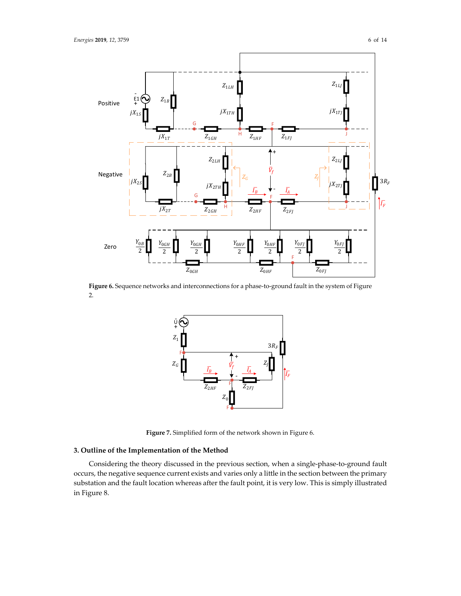

**Figure 6.** Sequence networks and interconnections for a phase-to-ground fault in the system of Figure 2.



**Figure 7.** Simplified form of the network shown in Figure 6.

#### **3. Outline of the Implementation of the Method**

Considering the theory discussed in the previous section, when a single-phase-to-ground fault occurs, the negative sequence current exists and varies only a little in the section between the primary substation and the fault location whereas after the fault point, it is very low. This is simply illustrated in Figure 8.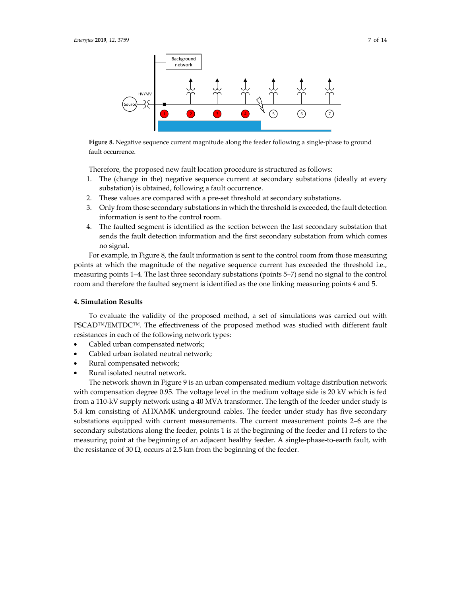

**Figure 8.** Negative sequence current magnitude along the feeder following a single-phase to ground fault occurrence.

Therefore, the proposed new fault location procedure is structured as follows:

- 1. The (change in the) negative sequence current at secondary substations (ideally at every substation) is obtained, following a fault occurrence.
- 2. These values are compared with a pre-set threshold at secondary substations.
- 3. Only from those secondary substations in which the threshold is exceeded, the fault detection information is sent to the control room.
- 4. The faulted segment is identified as the section between the last secondary substation that sends the fault detection information and the first secondary substation from which comes no signal.

For example, in Figure 8, the fault information is sent to the control room from those measuring points at which the magnitude of the negative sequence current has exceeded the threshold i.e., measuring points 1–4. The last three secondary substations (points 5–7) send no signal to the control room and therefore the faulted segment is identified as the one linking measuring points 4 and 5.

#### **4. Simulation Results**

To evaluate the validity of the proposed method, a set of simulations was carried out with PSCAD™/EMTDC™. The effectiveness of the proposed method was studied with different fault resistances in each of the following network types:

- Cabled urban compensated network;
- Cabled urban isolated neutral network;
- Rural compensated network;
- Rural isolated neutral network.

The network shown in Figure 9 is an urban compensated medium voltage distribution network with compensation degree 0.95. The voltage level in the medium voltage side is 20 kV which is fed from a 110-kV supply network using a 40 MVA transformer. The length of the feeder under study is 5.4 km consisting of AHXAMK underground cables. The feeder under study has five secondary substations equipped with current measurements. The current measurement points 2–6 are the secondary substations along the feeder, points 1 is at the beginning of the feeder and H refers to the measuring point at the beginning of an adjacent healthy feeder. A single-phase-to-earth fault, with the resistance of 30  $\Omega$ , occurs at 2.5 km from the beginning of the feeder.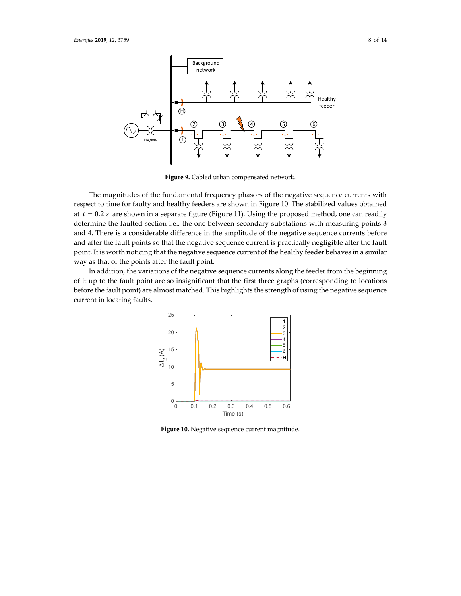

**Figure 9.** Cabled urban compensated network.

The magnitudes of the fundamental frequency phasors of the negative sequence currents with respect to time for faulty and healthy feeders are shown in Figure 10. The stabilized values obtained at  $t = 0.2$  s are shown in a separate figure (Figure 11). Using the proposed method, one can readily determine the faulted section i.e., the one between secondary substations with measuring points 3 and 4. There is a considerable difference in the amplitude of the negative sequence currents before and after the fault points so that the negative sequence current is practically negligible after the fault point. It is worth noticing that the negative sequence current of the healthy feeder behaves in a similar way as that of the points after the fault point.

In addition, the variations of the negative sequence currents along the feeder from the beginning of it up to the fault point are so insignificant that the first three graphs (corresponding to locations before the fault point) are almost matched. This highlights the strength of using the negative sequence current in locating faults.



**Figure 10.** Negative sequence current magnitude.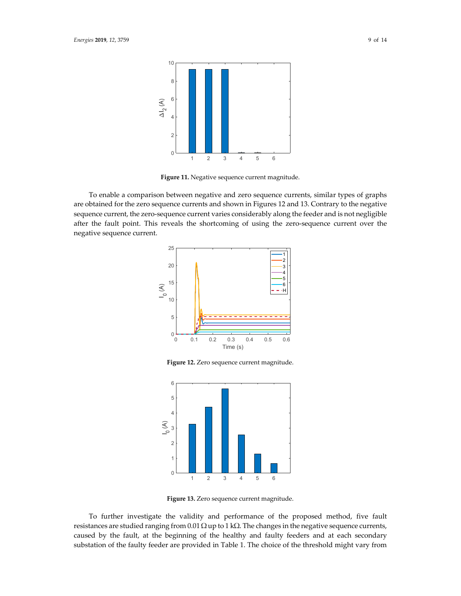

**Figure 11.** Negative sequence current magnitude.

To enable a comparison between negative and zero sequence currents, similar types of graphs are obtained for the zero sequence currents and shown in Figures 12 and 13. Contrary to the negative sequence current, the zero-sequence current varies considerably along the feeder and is not negligible after the fault point. This reveals the shortcoming of using the zero-sequence current over the negative sequence current.



**Figure 12.** Zero sequence current magnitude.



**Figure 13.** Zero sequence current magnitude.

To further investigate the validity and performance of the proposed method, five fault resistances are studied ranging from 0.01  $\Omega$  up to 1 k $\Omega$ . The changes in the negative sequence currents, caused by the fault, at the beginning of the healthy and faulty feeders and at each secondary substation of the faulty feeder are provided in Table 1. The choice of the threshold might vary from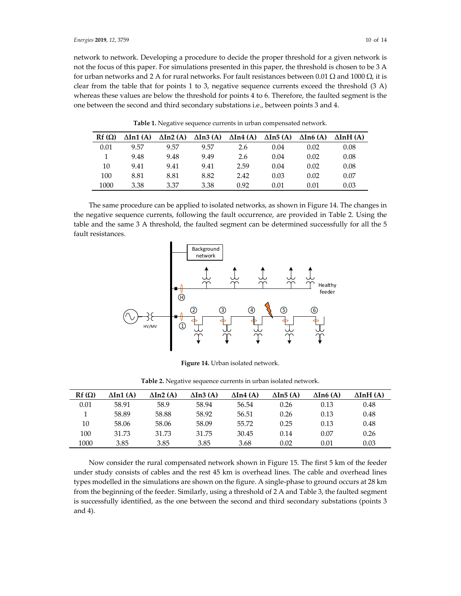network to network. Developing a procedure to decide the proper threshold for a given network is not the focus of this paper. For simulations presented in this paper, the threshold is chosen to be 3 A for urban networks and 2 A for rural networks. For fault resistances between 0.01 Ω and 1000 Ω, it is clear from the table that for points 1 to 3, negative sequence currents exceed the threshold (3 A) whereas these values are below the threshold for points 4 to 6. Therefore, the faulted segment is the one between the second and third secondary substations i.e., between points 3 and 4.

| $Rf(\Omega)$ | $\Delta$ In1 $(A)$ | $\Delta$ In2 $(A)$ | $\Delta$ In3 $(A)$ | $\Delta$ In4 (A) | $\Delta$ In5 $(A)$ | $\Delta$ In6 $(A)$ | $\Delta$ InH $(A)$ |
|--------------|--------------------|--------------------|--------------------|------------------|--------------------|--------------------|--------------------|
| 0.01         | 9.57               | 9.57               | 9.57               | 2.6              | 0.04               | 0.02               | 0.08               |
|              | 9.48               | 9.48               | 9.49               | 2.6              | 0.04               | 0.02               | 0.08               |
| 10           | 9.41               | 9.41               | 9.41               | 2.59             | 0.04               | 0.02               | 0.08               |
| 100          | 8.81               | 8.81               | 8.82               | 2.42             | 0.03               | 0.02               | 0.07               |
| 1000         | 3.38               | 3.37               | 3.38               | 0.92             | 0.01               | 0.01               | 0.03               |

**Table 1.** Negative sequence currents in urban compensated network.

The same procedure can be applied to isolated networks, as shown in Figure 14. The changes in the negative sequence currents, following the fault occurrence, are provided in Table 2. Using the table and the same 3 A threshold, the faulted segment can be determined successfully for all the 5 fault resistances.



**Figure 14.** Urban isolated network.

|  |  |  | <b>Table 2.</b> Negative sequence currents in urban isolated network. |  |  |  |  |  |  |  |
|--|--|--|-----------------------------------------------------------------------|--|--|--|--|--|--|--|
|--|--|--|-----------------------------------------------------------------------|--|--|--|--|--|--|--|

| $Rf(\Omega)$ | $\Delta$ In1 $(A)$ | $\Delta$ In2 $(A)$ | $\Delta$ In3 (A) | $\Delta$ In4 (A) | $\Delta$ In5 (A) | $\Delta$ In6 $(A)$ | $\Delta$ InH $(A)$ |
|--------------|--------------------|--------------------|------------------|------------------|------------------|--------------------|--------------------|
| 0.01         | 58.91              | 58.9               | 58.94            | 56.54            | 0.26             | 0.13               | 0.48               |
|              | 58.89              | 58.88              | 58.92            | 56.51            | 0.26             | 0.13               | 0.48               |
| 10           | 58.06              | 58.06              | 58.09            | 55.72            | 0.25             | 0.13               | 0.48               |
| 100          | 31.73              | 31.73              | 31.75            | 30.45            | 0.14             | 0.07               | 0.26               |
| 1000         | 3.85               | 3.85               | 3.85             | 3.68             | 0.02             | 0.01               | 0.03               |

Now consider the rural compensated network shown in Figure 15. The first 5 km of the feeder under study consists of cables and the rest 45 km is overhead lines. The cable and overhead lines types modelled in the simulations are shown on the figure. A single-phase to ground occurs at 28 km from the beginning of the feeder. Similarly, using a threshold of 2 A and Table 3, the faulted segment is successfully identified, as the one between the second and third secondary substations (points 3 and 4).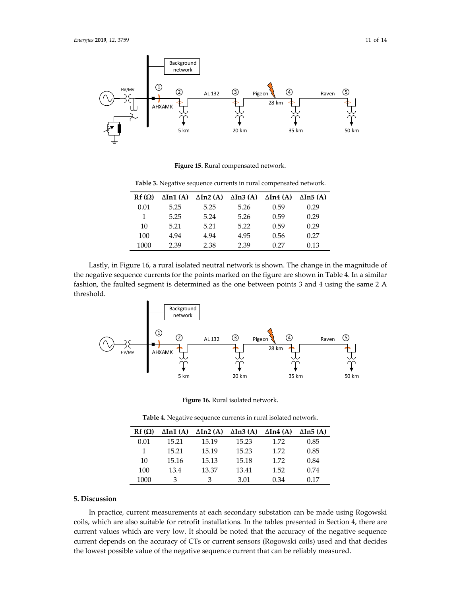

**Figure 15.** Rural compensated network.

**Table 3.** Negative sequence currents in rural compensated network.

| $Rf(\Omega)$ | $\Delta$ In1 $(A)$ | $\Delta$ In2 (A) | $\Delta$ In3 (A) | $\Delta$ In4 (A) | $\Delta$ In5 (A) |
|--------------|--------------------|------------------|------------------|------------------|------------------|
| 0.01         | 5.25               | 5.25             | 5.26             | 0.59             | 0.29             |
| 1            | 5.25               | 5.24             | 5.26             | 0.59             | 0.29             |
| 10           | 5.21               | 5.21             | 5.22             | 0.59             | 0.29             |
| 100          | 4.94               | 4.94             | 4.95             | 0.56             | 0.27             |
| 1000         | 2.39               | 2.38             | 2.39             | 0.27             | 0.13             |

Lastly, in Figure 16, a rural isolated neutral network is shown. The change in the magnitude of the negative sequence currents for the points marked on the figure are shown in Table 4. In a similar fashion, the faulted segment is determined as the one between points 3 and 4 using the same 2 A threshold.



**Figure 16.** Rural isolated network.

**Table 4.** Negative sequence currents in rural isolated network.

| $Rf(\Omega)$ | $\Delta$ In1 $(A)$ | $\Delta$ In2 (A) | $\Delta$ In3 (A) | $\Delta$ In4 (A) | $\Delta$ In5 (A) |
|--------------|--------------------|------------------|------------------|------------------|------------------|
| 0.01         | 15.21              | 15.19            | 15.23            | 1.72             | 0.85             |
|              | 15.21              | 15.19            | 15.23            | 1.72             | 0.85             |
| 10           | 15.16              | 15.13            | 15.18            | 1.72             | 0.84             |
| 100          | 13.4               | 13.37            | 13.41            | 1.52             | 0.74             |
| 1000         | З                  | З                | 3.01             | 0.34             | 0.17             |

#### **5. Discussion**

In practice, current measurements at each secondary substation can be made using Rogowski coils, which are also suitable for retrofit installations. In the tables presented in Section 4, there are current values which are very low. It should be noted that the accuracy of the negative sequence current depends on the accuracy of CTs or current sensors (Rogowski coils) used and that decides the lowest possible value of the negative sequence current that can be reliably measured.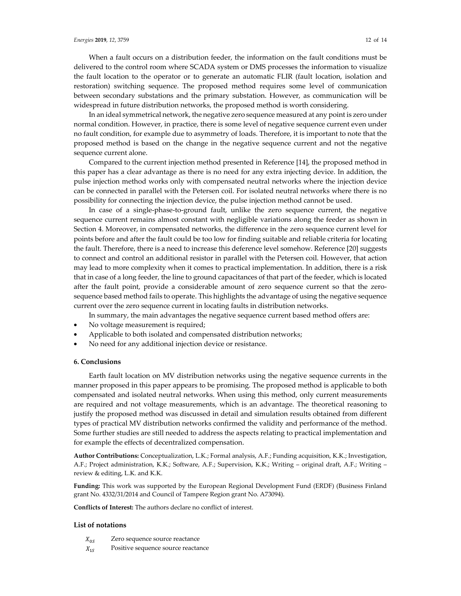When a fault occurs on a distribution feeder, the information on the fault conditions must be delivered to the control room where SCADA system or DMS processes the information to visualize the fault location to the operator or to generate an automatic FLIR (fault location, isolation and restoration) switching sequence. The proposed method requires some level of communication between secondary substations and the primary substation. However, as communication will be widespread in future distribution networks, the proposed method is worth considering.

In an ideal symmetrical network, the negative zero sequence measured at any point is zero under normal condition. However, in practice, there is some level of negative sequence current even under no fault condition, for example due to asymmetry of loads. Therefore, it is important to note that the proposed method is based on the change in the negative sequence current and not the negative sequence current alone.

Compared to the current injection method presented in Reference [14], the proposed method in this paper has a clear advantage as there is no need for any extra injecting device. In addition, the pulse injection method works only with compensated neutral networks where the injection device can be connected in parallel with the Petersen coil. For isolated neutral networks where there is no possibility for connecting the injection device, the pulse injection method cannot be used.

In case of a single-phase-to-ground fault, unlike the zero sequence current, the negative sequence current remains almost constant with negligible variations along the feeder as shown in Section 4. Moreover, in compensated networks, the difference in the zero sequence current level for points before and after the fault could be too low for finding suitable and reliable criteria for locating the fault. Therefore, there is a need to increase this deference level somehow. Reference [20] suggests to connect and control an additional resistor in parallel with the Petersen coil. However, that action may lead to more complexity when it comes to practical implementation. In addition, there is a risk that in case of a long feeder, the line to ground capacitances of that part of the feeder, which is located after the fault point, provide a considerable amount of zero sequence current so that the zerosequence based method fails to operate. This highlights the advantage of using the negative sequence current over the zero sequence current in locating faults in distribution networks.

In summary, the main advantages the negative sequence current based method offers are:

- No voltage measurement is required;
- Applicable to both isolated and compensated distribution networks;
- No need for any additional injection device or resistance.

#### **6. Conclusions**

Earth fault location on MV distribution networks using the negative sequence currents in the manner proposed in this paper appears to be promising. The proposed method is applicable to both compensated and isolated neutral networks. When using this method, only current measurements are required and not voltage measurements, which is an advantage. The theoretical reasoning to justify the proposed method was discussed in detail and simulation results obtained from different types of practical MV distribution networks confirmed the validity and performance of the method. Some further studies are still needed to address the aspects relating to practical implementation and for example the effects of decentralized compensation.

**Author Contributions:** Conceptualization, L.K.; Formal analysis, A.F.; Funding acquisition, K.K.; Investigation, A.F.; Project administration, K.K.; Software, A.F.; Supervision, K.K.; Writing – original draft, A.F.; Writing – review & editing, L.K. and K.K.

**Funding:** This work was supported by the European Regional Development Fund (ERDF) (Business Finland grant No. 4332/31/2014 and Council of Tampere Region grant No. A73094).

**Conflicts of Interest:** The authors declare no conflict of interest.

#### **List of notations**

- $X_{0S}$  Zero sequence source reactance
- $X_{1S}$  Positive sequence source reactance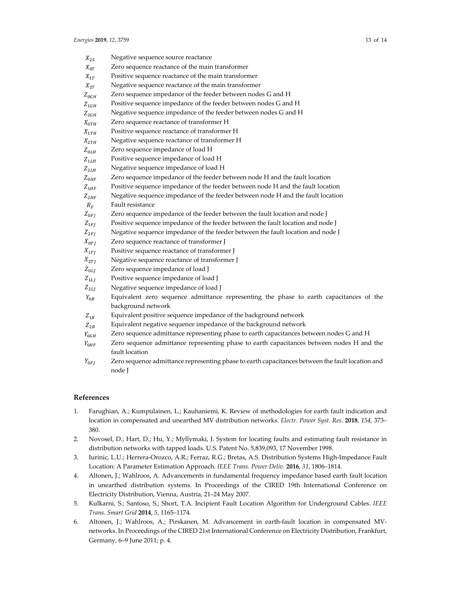| $X_{2S}$           | Negative sequence source reactance                                                                                                                                                                                                |
|--------------------|-----------------------------------------------------------------------------------------------------------------------------------------------------------------------------------------------------------------------------------|
| $X_{0T}$           | Zero sequence reactance of the main transformer                                                                                                                                                                                   |
| $X_{1T}$           | Positive sequence reactance of the main transformer                                                                                                                                                                               |
| $X_{2T}$           | Negative sequence reactance of the main transformer                                                                                                                                                                               |
| $Z_{0GH}$          | Zero sequence impedance of the feeder between nodes G and H                                                                                                                                                                       |
| $Z_{1GH}$          | Positive sequence impedance of the feeder between nodes G and H                                                                                                                                                                   |
| $Z_{2GH}$          | Negative sequence impedance of the feeder between nodes G and H                                                                                                                                                                   |
| $X_{0TH}$          | Zero sequence reactance of transformer H                                                                                                                                                                                          |
| $X_{1TH}$          | Positive sequence reactance of transformer H                                                                                                                                                                                      |
| $X_{2TH}$          | Negative sequence reactance of transformer H                                                                                                                                                                                      |
| $Z_{0LH}$          | Zero sequence impedance of load H                                                                                                                                                                                                 |
| $Z_{1LH}$          | Positive sequence impedance of load H                                                                                                                                                                                             |
| $Z$ <sub>2LH</sub> | Negative sequence impedance of load H                                                                                                                                                                                             |
| $Z_{0HF}$          | Zero sequence impedance of the feeder between node H and the fault location                                                                                                                                                       |
| $Z_{1HF}$          | Positive sequence impedance of the feeder between node H and the fault location                                                                                                                                                   |
| $Z_{2HF}$          | Negative sequence impedance of the feeder between node H and the fault location                                                                                                                                                   |
| $R_F$              | Fault resistance                                                                                                                                                                                                                  |
| $Z_{0FI}$          | Zero sequence impedance of the feeder between the fault location and node J                                                                                                                                                       |
| $Z_{1FI}$          | Positive sequence impedance of the feeder between the fault location and node J                                                                                                                                                   |
| $Z_{2FI}$          | Negative sequence impedance of the feeder between the fault location and node J                                                                                                                                                   |
| $X_{0TJ}$          | Zero sequence reactance of transformer J                                                                                                                                                                                          |
| $X_{1T}$           | Positive sequence reactance of transformer J                                                                                                                                                                                      |
| $X_{2TI}$          | Negative sequence reactance of transformer J                                                                                                                                                                                      |
| $Z_{0LI}$          | Zero sequence impedance of load J                                                                                                                                                                                                 |
| $Z_{1LJ}$          | Positive sequence impedance of load J                                                                                                                                                                                             |
| $Z_{2LJ}$          | Negative sequence impedance of load J                                                                                                                                                                                             |
| $Y_{0B}$           | Equivalent zero sequence admittance representing the phase to earth capacitances of the                                                                                                                                           |
|                    | background network                                                                                                                                                                                                                |
| $Z_{1B}$           | Equivalent positive sequence impedance of the background network                                                                                                                                                                  |
| $Z_{2B}$           | Equivalent negative sequence impedance of the background network                                                                                                                                                                  |
| $Y_{0GH}$          | Zero sequence admittance representing phase to earth capacitances between nodes G and H                                                                                                                                           |
| $Y_{0HF}$          | Zero sequence admittance representing phase to earth capacitances between nodes H and the<br>fault location                                                                                                                       |
| $\mathbf{v}$       | $\mathbf{1}$ , and a set of the set of the set of the set of the set of the set of the set of the set of the set of the set of the set of the set of the set of the set of the set of the set of the set of the set of the set of |

 $Y_{0FJ}$  Zero sequence admittance representing phase to earth capacitances between the fault location and node J

#### **References**

- 1. Farughian, A.; Kumpulainen, L.; Kauhaniemi, K. Review of methodologies for earth fault indication and location in compensated and unearthed MV distribution networks. *Electr. Power Syst. Res.* **2018**, *154*, 373– 380.
- 2. Novosel, D.; Hart, D.; Hu, Y.; Myllymaki, J. System for locating faults and estimating fault resistance in distribution networks with tapped loads. U.S. Patent No. 5,839,093, 17 November 1998.
- 3. Iurinic, L.U.; Herrera-Orozco, A.R.; Ferraz, R.G.; Bretas, A.S. Distribution Systems High-Impedance Fault Location: A Parameter Estimation Approach. *IEEE Trans. Power Deliv.* **2016**, *31*, 1806–1814.
- 4. Altonen, J.; Wahlroos, A. Advancements in fundamental frequency impedance based earth fault location in unearthed distribution systems. In Proceedings of the CIRED 19th International Conference on Electricity Distribution, Vienna, Austria, 21–24 May 2007.
- 5. Kulkarni, S.; Santoso, S.; Short, T.A. Incipient Fault Location Algorithm for Underground Cables. *IEEE Trans. Smart Grid* **2014**, *5*, 1165–1174.
- 6. Altonen, J.; Wahlroos, A.; Pirskanen, M. Advancement in earth-fault location in compensated MVnetworks. In Proceedings of the CIRED 21st International Conference on Electricity Distribution, Frankfurt, Germany, 6–9 June 2011; p. 4.